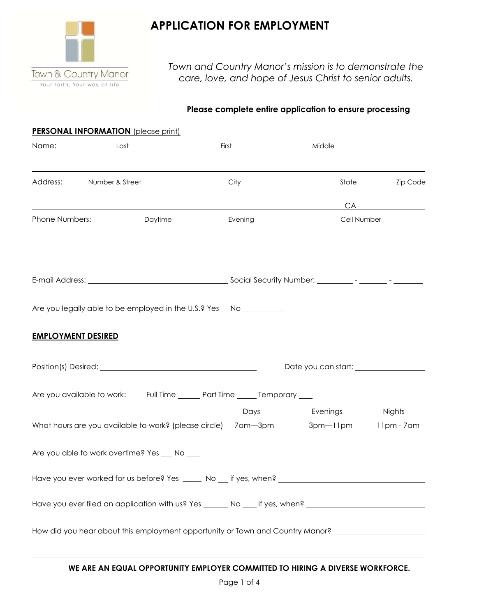

# **APPLICATION FOR EMPLOYMENT**

*Town and Country Manor's mission is to demonstrate the care, love, and hope of Jesus Christ to senior adults.*

### **Please complete entire application to ensure processing**

|                           | <b>PERSONAL INFORMATION</b> (please print)                                                                     |         |             |                          |
|---------------------------|----------------------------------------------------------------------------------------------------------------|---------|-------------|--------------------------|
| Name:                     | Last                                                                                                           | First   | Middle      |                          |
|                           | Address: Number & Street                                                                                       | City    |             | State<br><b>Zip Code</b> |
|                           |                                                                                                                |         |             | CA                       |
| Phone Numbers:            | Daytime                                                                                                        | Evening | Cell Number |                          |
|                           |                                                                                                                |         |             |                          |
|                           |                                                                                                                |         |             |                          |
| <b>EMPLOYMENT DESIRED</b> | Are you legally able to be employed in the U.S.? Yes _ No __________                                           |         |             |                          |
|                           |                                                                                                                |         |             |                          |
|                           | Are you available to work: Full Time ______ Part Time _____ Temporary ___                                      |         |             |                          |
|                           | What hours are you available to work? (please circle) _7am-3pm _______3pm-11pm ____11pm -7am                   | Days    | Evenings    | Nights                   |
|                           | Are you able to work overtime? Yes ___ No ___                                                                  |         |             |                          |
|                           |                                                                                                                |         |             |                          |
|                           | Have you ever filed an application with us? Yes _______ No ____ if yes, when? ________________________________ |         |             |                          |
|                           | How did you hear about this employment opportunity or Town and Country Manor? _____________________            |         |             |                          |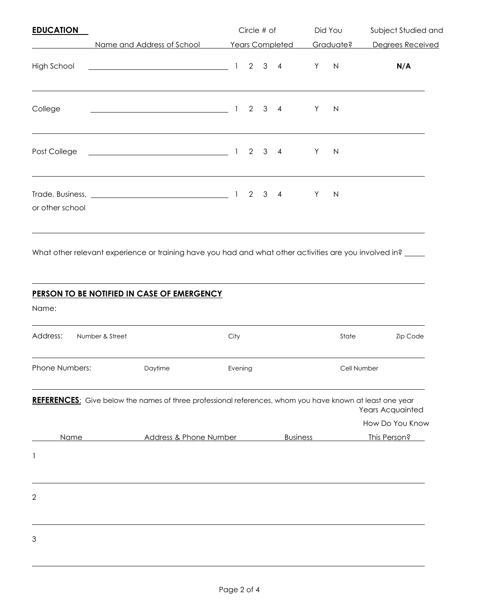| <b>EDUCATION</b> |                                                                                                                        | Circle # of<br><b>Years Completed</b> |  |                     | Did You<br>Graduate? |    | Subject Studied and<br>Degrees Received |     |  |
|------------------|------------------------------------------------------------------------------------------------------------------------|---------------------------------------|--|---------------------|----------------------|----|-----------------------------------------|-----|--|
|                  | Name and Address of School                                                                                             |                                       |  |                     |                      |    |                                         |     |  |
| High School      | <u> 2008 - Johann Stoff, deutscher Stoffen und der Stoffen und der Stoffen und der Stoffen und der Stoffen und der</u> | $\mathbf{1}$                          |  | $2 \quad 3 \quad 4$ |                      | Y. | N                                       | N/A |  |
| College          |                                                                                                                        |                                       |  |                     |                      | Y  | N                                       |     |  |
| Post College     |                                                                                                                        |                                       |  | $2 \t3 \t4$         |                      | Y. | $\mathsf{N}$                            |     |  |
| or other school  |                                                                                                                        |                                       |  | $2 \quad 3 \quad 4$ |                      | Y  | $\mathsf{N}$                            |     |  |

What other relevant experience or training have you had and what other activities are you involved in?

## **PERSON TO BE NOTIFIED IN CASE OF EMERGENCY**

Name:

| Address:       | Number & Street |                        | City                                                                                                     |                 | State       | Zip Code         |
|----------------|-----------------|------------------------|----------------------------------------------------------------------------------------------------------|-----------------|-------------|------------------|
| Phone Numbers: |                 | Daytime                | Evening                                                                                                  |                 | Cell Number |                  |
|                |                 |                        | REFERENCES: Give below the names of three professional references, whom you have known at least one year |                 |             | Years Acquainted |
|                |                 |                        |                                                                                                          |                 |             | How Do You Know  |
|                | Name            | Address & Phone Number |                                                                                                          | <b>Business</b> |             | This Person?     |
| 1              |                 |                        |                                                                                                          |                 |             |                  |
| $\overline{2}$ |                 |                        |                                                                                                          |                 |             |                  |
| 3              |                 |                        |                                                                                                          |                 |             |                  |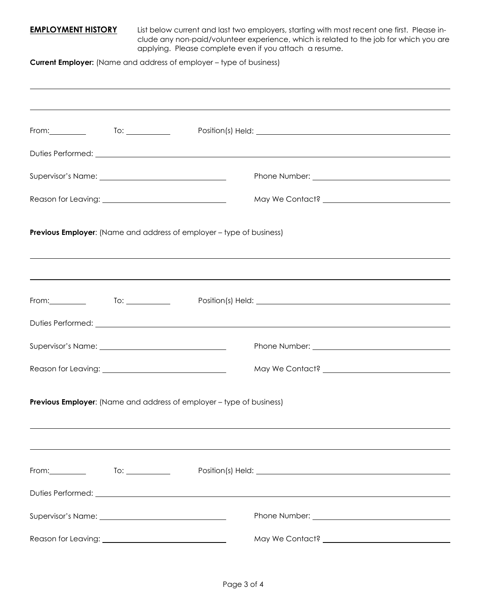**EMPLOYMENT HISTORY** List below current and last two employers, starting with most recent one first. Please include any non-paid/volunteer experience, which is related to the job for which you are applying. Please complete even if you attach a resume.

**Current Employer:** (Name and address of employer – type of business)

| From:____________    To: _____________                                                                                                                  |                                                                             |  |                                                                                                                                                                                                                                |  |  |
|---------------------------------------------------------------------------------------------------------------------------------------------------------|-----------------------------------------------------------------------------|--|--------------------------------------------------------------------------------------------------------------------------------------------------------------------------------------------------------------------------------|--|--|
|                                                                                                                                                         |                                                                             |  |                                                                                                                                                                                                                                |  |  |
|                                                                                                                                                         |                                                                             |  |                                                                                                                                                                                                                                |  |  |
|                                                                                                                                                         |                                                                             |  |                                                                                                                                                                                                                                |  |  |
|                                                                                                                                                         | <b>Previous Employer:</b> (Name and address of employer – type of business) |  |                                                                                                                                                                                                                                |  |  |
| ,我们也不会有什么?""我们的人,我们也不会有什么?""我们的人,我们也不会有什么?""我们的人,我们也不会有什么?""我们的人,我们也不会有什么?""我们的人<br>Position(s) Held: 2000 Contract Dental Automatic Position (s) Held: |                                                                             |  |                                                                                                                                                                                                                                |  |  |
|                                                                                                                                                         |                                                                             |  |                                                                                                                                                                                                                                |  |  |
|                                                                                                                                                         |                                                                             |  |                                                                                                                                                                                                                                |  |  |
|                                                                                                                                                         |                                                                             |  |                                                                                                                                                                                                                                |  |  |
|                                                                                                                                                         | <b>Previous Employer:</b> (Name and address of employer – type of business) |  |                                                                                                                                                                                                                                |  |  |
|                                                                                                                                                         |                                                                             |  | Position(s) Held: 2000 Contract Dental Contract Dental Contract Dental Contract Dental Contract Dental Contract Dental Contract Dental Contract Dental Contract Dental Contract Dental Contract Dental Contract Dental Contrac |  |  |
|                                                                                                                                                         |                                                                             |  |                                                                                                                                                                                                                                |  |  |
|                                                                                                                                                         |                                                                             |  |                                                                                                                                                                                                                                |  |  |
|                                                                                                                                                         |                                                                             |  |                                                                                                                                                                                                                                |  |  |